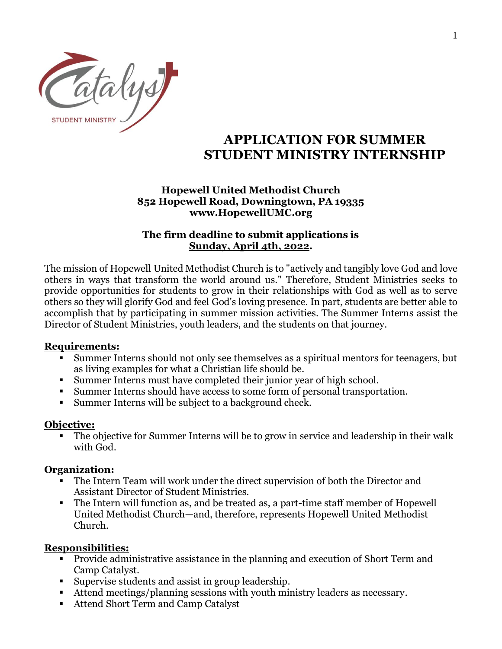

# **APPLICATION FOR SUMMER STUDENT MINISTRY INTERNSHIP**

## **Hopewell United Methodist Church 852 Hopewell Road, Downingtown, PA 19335 www.HopewellUMC.org**

# **The firm deadline to submit applications is Sunday, April 4th, 2022.**

The mission of Hopewell United Methodist Church is to "actively and tangibly love God and love others in ways that transform the world around us." Therefore, Student Ministries seeks to provide opportunities for students to grow in their relationships with God as well as to serve others so they will glorify God and feel God's loving presence. In part, students are better able to accomplish that by participating in summer mission activities. The Summer Interns assist the Director of Student Ministries, youth leaders, and the students on that journey.

# **Requirements:**

- Summer Interns should not only see themselves as a spiritual mentors for teenagers, but as living examples for what a Christian life should be.
- Summer Interns must have completed their junior year of high school.
- Summer Interns should have access to some form of personal transportation.
- Summer Interns will be subject to a background check.

# **Objective:**

■ The objective for Summer Interns will be to grow in service and leadership in their walk with God.

## **Organization:**

- The Intern Team will work under the direct supervision of both the Director and Assistant Director of Student Ministries.
- The Intern will function as, and be treated as, a part-time staff member of Hopewell United Methodist Church—and, therefore, represents Hopewell United Methodist Church.

# **Responsibilities:**

- Provide administrative assistance in the planning and execution of Short Term and Camp Catalyst.
- Supervise students and assist in group leadership.
- Attend meetings/planning sessions with youth ministry leaders as necessary.
- Attend Short Term and Camp Catalyst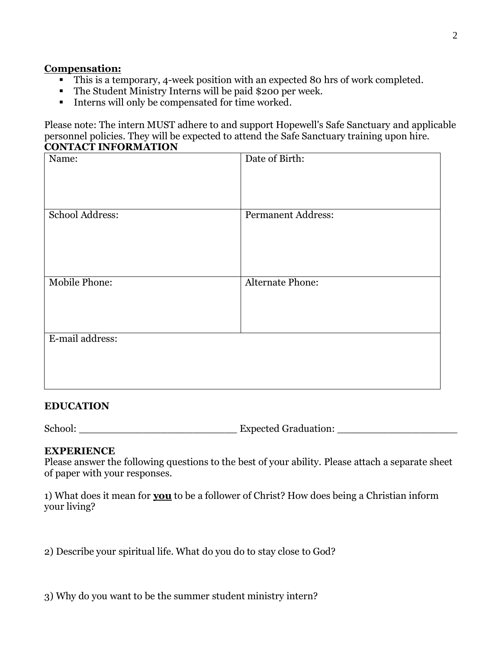#### **Compensation:**

- This is a temporary, 4-week position with an expected 80 hrs of work completed.
- The Student Ministry Interns will be paid \$200 per week.
- **■** Interns will only be compensated for time worked.

Please note: The intern MUST adhere to and support Hopewell's Safe Sanctuary and applicable personnel policies. They will be expected to attend the Safe Sanctuary training upon hire. **CONTACT INFORMATION**

| Name:           | Date of Birth:            |
|-----------------|---------------------------|
| School Address: | <b>Permanent Address:</b> |
| Mobile Phone:   | Alternate Phone:          |
| E-mail address: |                           |

#### **EDUCATION**

School: Expected Graduation:

## **EXPERIENCE**

Please answer the following questions to the best of your ability. Please attach a separate sheet of paper with your responses.

1) What does it mean for **you** to be a follower of Christ? How does being a Christian inform your living?

2) Describe your spiritual life. What do you do to stay close to God?

3) Why do you want to be the summer student ministry intern?